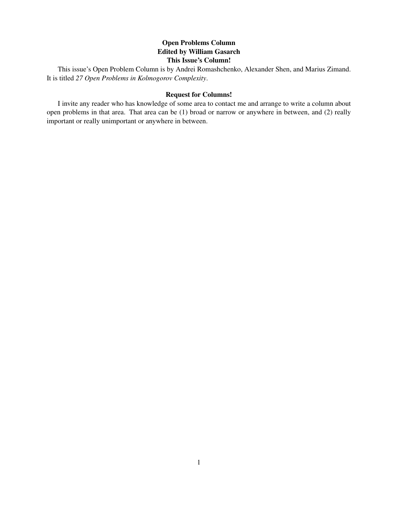# Open Problems Column Edited by William Gasarch This Issue's Column!

This issue's Open Problem Column is by Andrei Romashchenko, Alexander Shen, and Marius Zimand. It is titled *27 Open Problems in Kolmogorov Complexity*.

#### Request for Columns!

I invite any reader who has knowledge of some area to contact me and arrange to write a column about open problems in that area. That area can be (1) broad or narrow or anywhere in between, and (2) really important or really unimportant or anywhere in between.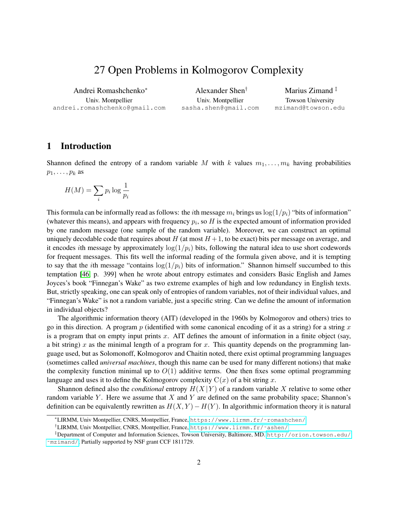# 27 Open Problems in Kolmogorov Complexity

Andrei Romashchenko<sup>∗</sup> Univ. Montpellier andrei.romashchenko@gmail.com

Alexander Shen† Univ. Montpellier sasha.shen@gmail.com

Marius Zimand<sup>‡</sup> Towson University mzimand@towson.edu

# 1 Introduction

Shannon defined the entropy of a random variable M with k values  $m_1, \ldots, m_k$  having probabilities  $p_1, \ldots, p_k$  as

$$
H(M) = \sum_{i} p_i \log \frac{1}{p_i}
$$

This formula can be informally read as follows: the *i*th message  $m_i$  brings us  $\log(1/p_i)$  "bits of information" (whatever this means), and appears with frequency  $p_i$ , so  $H$  is the expected amount of information provided by one random message (one sample of the random variable). Moreover, we can construct an optimal uniquely decodable code that requires about  $H$  (at most  $H + 1$ , to be exact) bits per message on average, and it encodes ith message by approximately  $\log(1/p_i)$  bits, following the natural idea to use short codewords for frequent messages. This fits well the informal reading of the formula given above, and it is tempting to say that the *i*th message "contains  $\log(1/p_i)$  bits of information." Shannon himself succumbed to this temptation [\[46,](#page-23-0) p. 399] when he wrote about entropy estimates and considers Basic English and James Joyces's book "Finnegan's Wake" as two extreme examples of high and low redundancy in English texts. But, strictly speaking, one can speak only of entropies of random variables, not of their individual values, and "Finnegan's Wake" is not a random variable, just a specific string. Can we define the amount of information in individual objects?

The algorithmic information theory (AIT) (developed in the 1960s by Kolmogorov and others) tries to go in this direction. A program p (identified with some canonical encoding of it as a string) for a string x is a program that on empty input prints  $x$ . AIT defines the amount of information in a finite object (say, a bit string) x as the minimal length of a program for x. This quantity depends on the programming language used, but as Solomonoff, Kolmogorov and Chaitin noted, there exist optimal programming languages (sometimes called *universal machines*, though this name can be used for many different notions) that make the complexity function minimal up to  $O(1)$  additive terms. One then fixes some optimal programming language and uses it to define the Kolmogorov complexity  $C(x)$  of a bit string x.

Shannon defined also the *conditional* entropy  $H(X|Y)$  of a random variable X relative to some other random variable Y. Here we assume that X and Y are defined on the same probability space; Shannon's definition can be equivalently rewritten as  $H(X, Y) - H(Y)$ . In algorithmic information theory it is natural

<sup>∗</sup>LIRMM, Univ Montpellier, CNRS, Montpellier, France, [https://www.lirmm.fr/˜romashchen/](https://www.lirmm.fr/~romashchen/)

<sup>†</sup>LIRMM, Univ Montpellier, CNRS, Montpellier, France, [https://www.lirmm.fr/˜ashen/](https://www.lirmm.fr/~ashen/)

<sup>‡</sup>Department of Computer and Information Sciences, Towson University, Baltimore, MD. [http://orion.towson.edu/](http://orion.towson.edu/~mzimand/) [˜mzimand/](http://orion.towson.edu/~mzimand/); Partially supported by NSF grant CCF 1811729.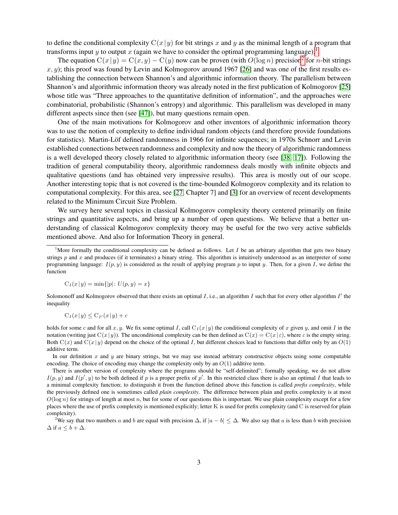to define the conditional complexity  $C(x|y)$  for bit strings x and y as the minimal length of a program that transforms input y to output x (again we have to consider the optimal programming language).<sup>[1](#page-2-0)</sup>

The equation  $C(x|y) = C(x, y) - C(y)$  now can be proven (with  $O(\log n)$  precision<sup>[2](#page-2-1)</sup> for *n*-bit strings  $x, y$ ; this proof was found by Levin and Kolmogorov around 1967 [\[26\]](#page-21-0) and was one of the first results establishing the connection between Shannon's and algorithmic information theory. The parallelism between Shannon's and algorithmic information theory was already noted in the first publication of Kolmogorov [\[25\]](#page-21-1) whose title was "Three approaches to the quantitative definition of information", and the approaches were combinatorial, probabilistic (Shannon's entropy) and algorithmic. This parallelism was developed in many different aspects since then (see [\[47\]](#page-23-1)), but many questions remain open.

One of the main motivations for Kolmogorov and other inventors of algorithmic information theory was to use the notion of complexity to define individual random objects (and therefore provide foundations for statistics). Martin-Löf defined randomness in 1966 for infinite sequences; in 1970s Schnorr and Levin established connections between randomness and complexity and now the theory of algorithmic randomness is a well developed theory closely related to algorithmic information theory (see [\[38,](#page-22-0) [17\]](#page-21-2)). Following the tradition of general computability theory, algorithmic randomness deals mostly with infinite objects and qualitative questions (and has obtained very impressive results). This area is mostly out of our scope. Another interesting topic that is not covered is the time-bounded Kolmogorov complexity and its relation to computational complexity. For this area, see [\[27,](#page-21-3) Chapter 7] and [\[3\]](#page-20-0) for an overview of recent developments related to the Minimum Circuit Size Problem.

We survey here several topics in classical Kolmogorov complexity theory centered primarily on finite strings and quantitative aspects, and bring up a number of open questions. We believe that a better understanding of classical Kolmogorov complexity theory may be useful for the two very active subfields mentioned above. And also for Information Theory in general.

$$
C_I(x|y) = \min\{|p| : U(p, y) = x\}
$$

Solomonoff and Kolmogorov observed that there exists an optimal  $I$ , i.e., an algorithm  $I$  such that for every other algorithm  $I'$  the inequality

$$
C_I(x|y) \le C_{I'}(x|y) + c
$$

holds for some c and for all x, y. We fix some optimal I, call  $C_I(x|y)$  the conditional complexity of x given y, and omit I in the notation (writing just C(x|y)). The unconditional complexity can be then defined as  $C(x) = C(x|\varepsilon)$ , where  $\varepsilon$  is the empty string. Both  $C(x)$  and  $C(x|y)$  depend on the choice of the optimal I, but different choices lead to functions that differ only by an  $O(1)$ additive term.

In our definition  $x$  and  $y$  are binary strings, but we may use instead arbitrary constructive objects using some computable encoding. The choice of encoding may change the complexity only by an  $O(1)$  additive term.

There is another version of complexity where the programs should be "self-delimited"; formally speaking, we do not allow  $I(p, y)$  and  $I(p', y)$  to be both defined if p is a proper prefix of p'. In this restricted class there is also an optimal I that leads to a minimal complexity function; to distinguish it from the function defined above this function is called *prefix complexity*, while the previously defined one is sometimes called *plain complexity*. The difference between plain and prefix complexity is at most  $O(\log n)$  for strings of length at most n, but for some of our questions this is important. We use plain complexity except for a few places where the use of prefix complexity is mentioned explicitly; letter K is used for prefix complexity (and C is reserved for plain complexity).

<span id="page-2-1"></span><sup>2</sup>We say that two numbers a and b are equal with precision  $\Delta$ , if  $|a - b| \leq \Delta$ . We also say that a is less than b with precision  $\Delta$  if  $a \leq b + \Delta$ .

<span id="page-2-0"></span><sup>&</sup>lt;sup>1</sup>More formally the conditional complexity can be defined as follows. Let I be an arbitrary algorithm that gets two binary strings  $p$  and  $x$  and produces (if it terminates) a binary string. This algorithm is intuitively understood as an interpreter of some programming language:  $I(p, y)$  is considered as the result of applying program p to input y. Then, for a given I, we define the function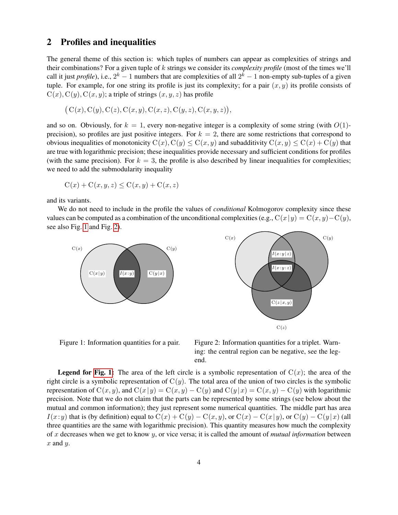# 2 Profiles and inequalities

The general theme of this section is: which tuples of numbers can appear as complexities of strings and their combinations? For a given tuple of k strings we consider its *complexity profile* (most of the times we'll call it just *profile*), i.e.,  $2^k - 1$  numbers that are complexities of all  $2^k - 1$  non-empty sub-tuples of a given tuple. For example, for one string its profile is just its complexity; for a pair  $(x, y)$  its profile consists of  $C(x)$ ,  $C(y)$ ,  $C(x, y)$ ; a triple of strings  $(x, y, z)$  has profile

$$
(C(x), C(y), C(z), C(x, y), C(x, z), C(y, z), C(x, y, z)),
$$

and so on. Obviously, for  $k = 1$ , every non-negative integer is a complexity of some string (with  $O(1)$ precision), so profiles are just positive integers. For  $k = 2$ , there are some restrictions that correspond to obvious inequalities of monotonicity  $C(x)$ ,  $C(y) \leq C(x, y)$  and subadditivity  $C(x, y) \leq C(x) + C(y)$  that are true with logarithmic precision; these inequalities provide necessary and sufficient conditions for profiles (with the same precision). For  $k = 3$ , the profile is also described by linear inequalities for complexities; we need to add the submodularity inequality

$$
C(x) + C(x, y, z) \le C(x, y) + C(x, z)
$$

and its variants.

We do not need to include in the profile the values of *conditional* Kolmogorov complexity since these values can be computed as a combination of the unconditional complexities (e.g.,  $C(x|y) = C(x, y) - C(y)$ , see also Fig. [1](#page-3-0) and Fig. [2\)](#page-3-1).





<span id="page-3-0"></span>Figure 1: Information quantities for a pair.

<span id="page-3-1"></span>Figure 2: Information quantities for a triplet. Warning: the central region can be negative, see the legend.

**Legend for [Fig. 1:](#page-3-0)** The area of the left circle is a symbolic representation of  $C(x)$ ; the area of the right circle is a symbolic representation of  $C(y)$ . The total area of the union of two circles is the symbolic representation of  $C(x, y)$ , and  $C(x|y) = C(x, y) - C(y)$  and  $C(y|x) = C(x, y) - C(y)$  with logarithmic precision. Note that we do not claim that the parts can be represented by some strings (see below about the mutual and common information); they just represent some numerical quantities. The middle part has area  $I(x:y)$  that is (by definition) equal to  $C(x) + C(y) - C(x,y)$ , or  $C(x) - C(x|y)$ , or  $C(y) - C(y|x)$  (all three quantities are the same with logarithmic precision). This quantity measures how much the complexity of x decreases when we get to know y, or vice versa; it is called the amount of *mutual information* between  $x$  and  $y$ .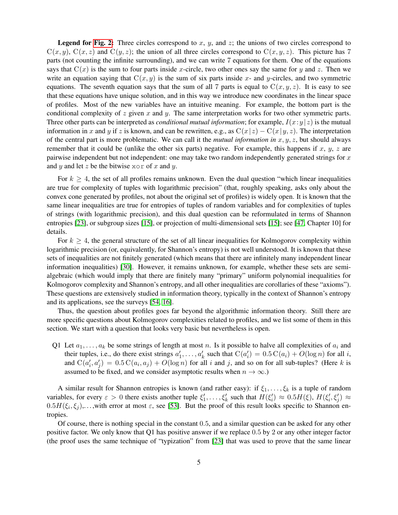**Legend for [Fig. 2:](#page-3-1)** Three circles correspond to  $x$ ,  $y$ , and  $z$ ; the unions of two circles correspond to  $C(x, y)$ ,  $C(x, z)$  and  $C(y, z)$ ; the union of all three circles correspond to  $C(x, y, z)$ . This picture has 7 parts (not counting the infinite surrounding), and we can write 7 equations for them. One of the equations says that  $C(x)$  is the sum to four parts inside x-circle, two other ones say the same for y and z. Then we write an equation saying that  $C(x, y)$  is the sum of six parts inside x- and y-circles, and two symmetric equations. The seventh equation says that the sum of all 7 parts is equal to  $C(x, y, z)$ . It is easy to see that these equations have unique solution, and in this way we introduce new coordinates in the linear space of profiles. Most of the new variables have an intuitive meaning. For example, the bottom part is the conditional complexity of z given x and y. The same interpretation works for two other symmetric parts. Three other parts can be interpreted as *conditional mutual information*; for example,  $I(x:y|z)$  is the mutual information in x and y if z is known, and can be rewritten, e.g., as  $C(x|z) - C(x|y, z)$ . The interpretation of the central part is more problematic. We can call it the *mutual information in*  $x, y, z$ , but should always remember that it could be (unlike the other six parts) negative. For example, this happens if  $x, y, z$  are pairwise independent but not independent: one may take two random independently generated strings for x and y and let z be the bitwise  $x \circ r$  of x and y.

For  $k \geq 4$ , the set of all profiles remains unknown. Even the dual question "which linear inequalities" are true for complexity of tuples with logarithmic precision" (that, roughly speaking, asks only about the convex cone generated by profiles, not about the original set of profiles) is widely open. It is known that the same linear inequalities are true for entropies of tuples of random variables and for complexities of tuples of strings (with logarithmic precision), and this dual question can be reformulated in terms of Shannon entropies [\[23\]](#page-21-4), or subgroup sizes [\[15\]](#page-21-5), or projection of multi-dimensional sets [\[15\]](#page-21-5); see [\[47,](#page-23-1) Chapter 10] for details.

For  $k > 4$ , the general structure of the set of all linear inequalities for Kolmogorov complexity within logarithmic precision (or, equivalently, for Shannon's entropy) is not well understood. It is known that these sets of inequalities are not finitely generated (which means that there are infinitely many independent linear information inequalities) [\[30\]](#page-22-1). However, it remains unknown, for example, whether these sets are semialgebraic (which would imply that there are finitely many "primary" uniform polynomial inequalities for Kolmogorov complexity and Shannon's entropy, and all other inequalities are corollaries of these "axioms"). These questions are extensively studied in information theory, typically in the context of Shannon's entropy and its applications, see the surveys [\[54,](#page-23-2) [16\]](#page-21-6).

Thus, the question about profiles goes far beyond the algorithmic information theory. Still there are more specific questions about Kolmogorov complexities related to profiles, and we list some of them in this section. We start with a question that looks very basic but nevertheless is open.

<span id="page-4-0"></span>Q1 Let  $a_1, \ldots, a_k$  be some strings of length at most n. Is it possible to halve all complexities of  $a_i$  and their tuples, i.e., do there exist strings  $a'_1, \ldots, a'_k$  such that  $C(a'_i) = 0.5 C(a_i) + O(\log n)$  for all i, and  $C(a'_i, a'_j) = 0.5 C(a_i, a_j) + O(\log n)$  for all i and j, and so on for all sub-tuples? (Here k is assumed to be fixed, and we consider asymptotic results when  $n \to \infty$ .)

A similar result for Shannon entropies is known (and rather easy): if  $\xi_1, \ldots, \xi_k$  is a tuple of random variables, for every  $\varepsilon > 0$  there exists another tuple  $\xi'_1, \ldots, \xi'_k$  such that  $H(\xi'_i) \approx 0.5H(\xi), H(\xi'_i, \xi'_j) \approx$  $0.5H(\xi_i, \xi_j), \ldots$ , with error at most  $\varepsilon$ , see [\[53\]](#page-23-3). But the proof of this result looks specific to Shannon entropies.

Of course, there is nothing special in the constant 0.5, and a similar question can be asked for any other positive factor. We only know that Q1 has positive answer if we replace 0.5 by 2 or any other integer factor (the proof uses the same technique of "typization" from [\[23\]](#page-21-4) that was used to prove that the same linear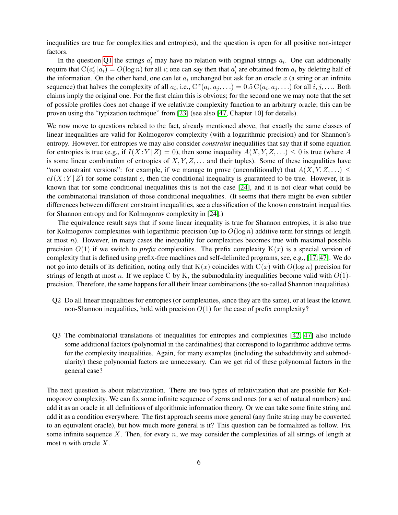inequalities are true for complexities and entropies), and the question is open for all positive non-integer factors.

In the question [Q1](#page-4-0) the strings  $a'_i$  may have no relation with original strings  $a_i$ . One can additionally require that  $C(a'_i|a_i) = O(\log n)$  for all *i*; one can say then that  $a'_i$  are obtained from  $a_i$  by deleting half of the information. On the other hand, one can let  $a_i$  unchanged but ask for an oracle x (a string or an infinite sequence) that halves the complexity of all  $a_i$ , i.e.,  $C^x(a_i, a_j, \ldots) = 0.5 C(a_i, a_j, \ldots)$  for all  $i, j, \ldots$ . Both claims imply the original one. For the first claim this is obvious; for the second one we may note that the set of possible profiles does not change if we relativize complexity function to an arbitrary oracle; this can be proven using the "typization technique" from [\[23\]](#page-21-4) (see also [\[47,](#page-23-1) Chapter 10] for details).

We now move to questions related to the fact, already mentioned above, that exactly the same classes of linear inequalities are valid for Kolmogorov complexity (with a logarithmic precision) and for Shannon's entropy. However, for entropies we may also consider *constraint* inequalities that say that if some equation for entropies is true (e.g., if  $I(X:Y|Z) = 0$ ), then some inequality  $A(X, Y, Z, ...) \leq 0$  is true (where A is some linear combination of entropies of  $X, Y, Z, \ldots$  and their tuples). Some of these inequalities have "non constraint versions": for example, if we manage to prove (unconditionally) that  $A(X, Y, Z, ...)$  $cI(X:Y|Z)$  for some constant c, then the conditional inequality is guaranteed to be true. However, it is known that for some conditional inequalities this is not the case [\[24\]](#page-21-7), and it is not clear what could be the combinatorial translation of those conditional inequalities. (It seems that there might be even subtler differences between different constraint inequalities, see a classification of the known constraint inequalities for Shannon entropy and for Kolmogorov complexity in [\[24\]](#page-21-7).)

The equivalence result says that if some linear inequality is true for Shannon entropies, it is also true for Kolmogorov complexities with logarithmic precision (up to  $O(\log n)$ ) additive term for strings of length at most  $n$ ). However, in many cases the inequality for complexities becomes true with maximal possible precision  $O(1)$  if we switch to *prefix* complexities. The prefix complexity  $K(x)$  is a special version of complexity that is defined using prefix-free machines and self-delimited programs, see, e.g., [\[17,](#page-21-2) [47\]](#page-23-1). We do not go into details of its definition, noting only that  $K(x)$  coincides with  $C(x)$  with  $O(\log n)$  precision for strings of length at most n. If we replace C by K, the submodularity inequalities become valid with  $O(1)$ precision. Therefore, the same happens for all their linear combinations (the so-called Shannon inequalities).

- Q2 Do all linear inequalities for entropies (or complexities, since they are the same), or at least the known non-Shannon inequalities, hold with precision  $O(1)$  for the case of prefix complexity?
- Q3 The combinatorial translations of inequalities for entropies and complexities [\[42,](#page-22-2) [47\]](#page-23-1) also include some additional factors (polynomial in the cardinalities) that correspond to logarithmic additive terms for the complexity inequalities. Again, for many examples (including the subadditivity and submodularity) these polynomial factors are unnecessary. Can we get rid of these polynomial factors in the general case?

The next question is about relativization. There are two types of relativization that are possible for Kolmogorov complexity. We can fix some infinite sequence of zeros and ones (or a set of natural numbers) and add it as an oracle in all definitions of algorithmic information theory. Or we can take some finite string and add it as a condition everywhere. The first approach seems more general (any finite string may be converted to an equivalent oracle), but how much more general is it? This question can be formalized as follow. Fix some infinite sequence X. Then, for every n, we may consider the complexities of all strings of length at most  $n$  with oracle  $X$ .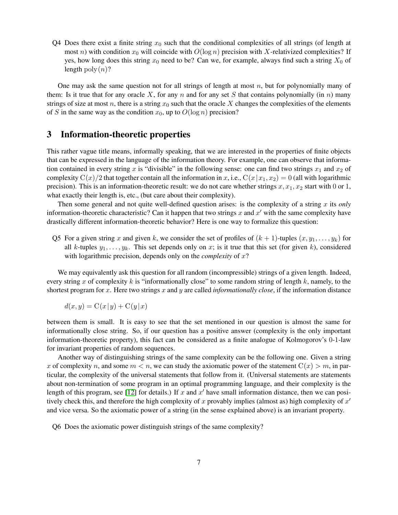Q4 Does there exist a finite string  $x_0$  such that the conditional complexities of all strings (of length at most n) with condition  $x_0$  will coincide with  $O(\log n)$  precision with X-relativized complexities? If yes, how long does this string  $x_0$  need to be? Can we, for example, always find such a string  $X_0$  of length poly $(n)$ ?

One may ask the same question not for all strings of length at most  $n$ , but for polynomially many of them: Is it true that for any oracle X, for any n and for any set S that contains polynomially (in n) many strings of size at most n, there is a string  $x_0$  such that the oracle X changes the complexities of the elements of S in the same way as the condition  $x_0$ , up to  $O(\log n)$  precision?

# <span id="page-6-0"></span>3 Information-theoretic properties

This rather vague title means, informally speaking, that we are interested in the properties of finite objects that can be expressed in the language of the information theory. For example, one can observe that information contained in every string x is "divisible" in the following sense: one can find two strings  $x_1$  and  $x_2$  of complexity  $C(x)/2$  that together contain all the information in x, i.e.,  $C(x|x_1, x_2) = 0$  (all with logarithmic precision). This is an information-theoretic result: we do not care whether strings  $x, x_1, x_2$  start with 0 or 1, what exactly their length is, etc., (but care about their complexity).

Then some general and not quite well-defined question arises: is the complexity of a string x its *only* information-theoretic characteristic? Can it happen that two strings x and  $x'$  with the same complexity have drastically different information-theoretic behavior? Here is one way to formalize this question:

Q5 For a given string x and given k, we consider the set of profiles of  $(k + 1)$ -tuples  $(x, y_1, \ldots, y_k)$  for all k-tuples  $y_1, \ldots, y_k$ . This set depends only on x; is it true that this set (for given k), considered with logarithmic precision, depends only on the *complexity* of x?

We may equivalently ask this question for all random (incompressible) strings of a given length. Indeed, every string x of complexity k is "informationally close" to some random string of length  $k$ , namely, to the shortest program for x. Here two strings x and y are called *informationally close*, if the information distance

$$
d(x, y) = C(x|y) + C(y|x)
$$

between them is small. It is easy to see that the set mentioned in our question is almost the same for informationally close string. So, if our question has a positive answer (complexity is the only important information-theoretic property), this fact can be considered as a finite analogue of Kolmogorov's 0-1-law for invariant properties of random sequences.

Another way of distinguishing strings of the same complexity can be the following one. Given a string x of complexity n, and some  $m < n$ , we can study the axiomatic power of the statement  $C(x) > m$ , in particular, the complexity of the universal statements that follow from it. (Universal statements are statements about non-termination of some program in an optimal programming language, and their complexity is the length of this program, see [\[12\]](#page-20-1) for details.) If x and  $x'$  have small information distance, then we can positively check this, and therefore the high complexity of x provably implies (almost as) high complexity of  $x'$ and vice versa. So the axiomatic power of a string (in the sense explained above) is an invariant property.

Q6 Does the axiomatic power distinguish strings of the same complexity?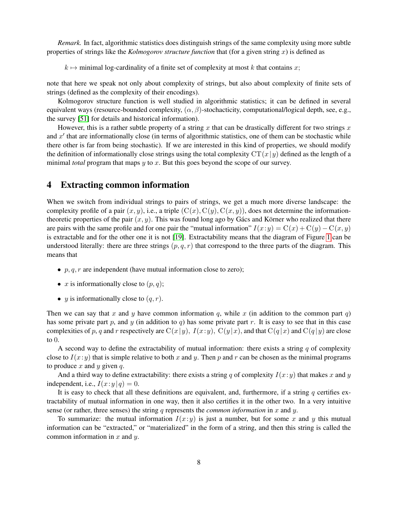*Remark.* In fact, algorithmic statistics does distinguish strings of the same complexity using more subtle properties of strings like the *Kolmogorov structure function* that (for a given string x) is defined as

 $k \mapsto$  minimal log-cardinality of a finite set of complexity at most k that contains x;

note that here we speak not only about complexity of strings, but also about complexity of finite sets of strings (defined as the complexity of their encodings).

Kolmogorov structure function is well studied in algorithmic statistics; it can be defined in several equivalent ways (resource-bounded complexity,  $(\alpha, \beta)$ -stochacticity, computational/logical depth, see, e.g., the survey [\[51\]](#page-23-4) for details and historical information).

However, this is a rather subtle property of a string x that can be drastically different for two strings x and  $x'$  that are informationally close (in terms of algorithmic statistics, one of them can be stochastic while there other is far from being stochastic). If we are interested in this kind of properties, we should modify the definition of informationally close strings using the total complexity  $CT(x|y)$  defined as the length of a minimal *total* program that maps y to x. But this goes beyond the scope of our survey.

# <span id="page-7-0"></span>4 Extracting common information

When we switch from individual strings to pairs of strings, we get a much more diverse landscape: the complexity profile of a pair  $(x, y)$ , i.e., a triple  $(C(x), C(y), C(x, y))$ , does not determine the informationtheoretic properties of the pair  $(x, y)$ . This was found long ago by Gács and Körner who realized that there are pairs with the same profile and for one pair the "mutual information"  $I(x:y) = C(x) + C(y) - C(x, y)$ is extractable and for the other one it is not [\[19\]](#page-21-8). Extractability means that the diagram of Figure [1](#page-3-0) can be understood literally: there are three strings  $(p, q, r)$  that correspond to the three parts of the diagram. This means that

- $p, q, r$  are independent (have mutual information close to zero);
- x is informationally close to  $(p, q)$ ;
- y is informationally close to  $(q, r)$ .

Then we can say that x and y have common information q, while x (in addition to the common part q) has some private part p, and y (in addition to q) has some private part r. It is easy to see that in this case complexities of p, q and r respectively are  $C(x|y)$ ,  $I(x:y)$ ,  $C(y|x)$ , and that  $C(q|x)$  and  $C(q|y)$  are close to 0.

A second way to define the extractability of mutual information: there exists a string q of complexity close to  $I(x: y)$  that is simple relative to both x and y. Then p and r can be chosen as the minimal programs to produce x and y given q.

And a third way to define extractability: there exists a string q of complexity  $I(x:y)$  that makes x and y independent, i.e.,  $I(x:y|q) = 0$ .

It is easy to check that all these definitions are equivalent, and, furthermore, if a string  $q$  certifies extractability of mutual information in one way, then it also certifies it in the other two. In a very intuitive sense (or rather, three senses) the string q represents the *common information* in x and y.

To summarize: the mutual information  $I(x:y)$  is just a number, but for some x and y this mutual information can be "extracted," or "materialized" in the form of a string, and then this string is called the common information in  $x$  and  $y$ .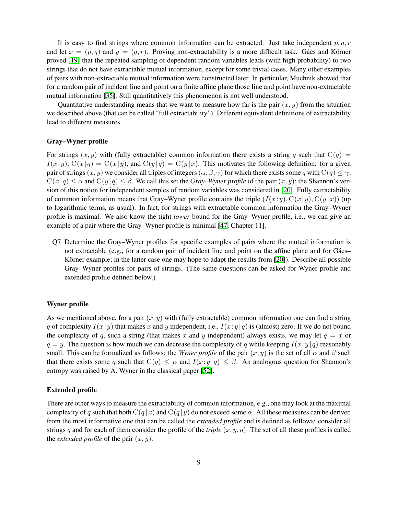It is easy to find strings where common information can be extracted. Just take independent  $p, q, r$ and let  $x = (p, q)$  and  $y = (q, r)$ . Proving non-extractability is a more difficult task. Gács and Körner proved [\[19\]](#page-21-8) that the repeated sampling of dependent random variables leads (with high probability) to two strings that do not have extractable mutual information, except for some trivial cases. Many other examples of pairs with non-extractable mutual information were constructed later. In particular, Muchnik showed that for a random pair of incident line and point on a finite affine plane those line and point have non-extractable mutual information [\[35\]](#page-22-3). Still quantitatively this phenomenon is not well understood.

Quantitative understanding means that we want to measure how far is the pair  $(x, y)$  from the situation we described above (that can be called "full extractability"). Different equivalent definitions of extractability lead to different measures.

#### Gray–Wyner profile

For strings  $(x, y)$  with (fully extractable) common information there exists a string q such that  $C(q) =$  $I(x:y)$ ,  $C(x|q) = C(x|y)$ , and  $C(y|q) = C(y|x)$ . This motivates the following definition: for a given pair of strings  $(x, y)$  we consider all triples of integers  $(\alpha, \beta, \gamma)$  for which there exists some q with  $C(q) \leq \gamma$ ,  $C(x|q) \leq \alpha$  and  $C(y|q) \leq \beta$ . We call this set the *Gray–Wyner profile* of the pair  $(x, y)$ ; the Shannon's version of this notion for independent samples of random variables was considered in [\[20\]](#page-21-9). Fully extractability of common information means that Gray–Wyner profile contains the triple  $(I(x:y), C(x|y), C(y|x))$  (up to logarithmic terms, as usual). In fact, for strings with extractable common information the Gray–Wyner profile is maximal. We also know the tight *lower* bound for the Gray–Wyner profile, i.e., we can give an example of a pair where the Gray–Wyner profile is minimal [\[47,](#page-23-1) Chapter 11].

Q7 Determine the Gray–Wyner profiles for specific examples of pairs where the mutual information is not extractable (e.g., for a random pair of incident line and point on the affine plane and for Gács– Körner example; in the latter case one may hope to adapt the results from [\[20\]](#page-21-9)). Describe all possible Gray–Wyner profiles for pairs of strings. (The same questions can be asked for Wyner profile and extended profile defined below.)

#### Wyner profile

As we mentioned above, for a pair  $(x, y)$  with (fully extractable) common information one can find a string q of complexity  $I(x: y)$  that makes x and y independent, i.e.,  $I(x: y | q)$  is (almost) zero. If we do not bound the complexity of q, such a string (that makes x and y independent) always exists, we may let  $q = x$  or  $q = y$ . The question is how much we can decrease the complexity of q while keeping  $I(x:y|q)$  reasonably small. This can be formalized as follows: the *Wyner profile* of the pair  $(x, y)$  is the set of all  $\alpha$  and  $\beta$  such that there exists some q such that  $C(q) \leq \alpha$  and  $I(x:y|q) \leq \beta$ . An analogous question for Shannon's entropy was raised by A. Wyner in the classical paper [\[52\]](#page-23-5).

#### Extended profile

There are other ways to measure the extractability of common information, e.g., one may look at the maximal complexity of q such that both  $C(q|x)$  and  $C(q|y)$  do not exceed some  $\alpha$ . All these measures can be derived from the most informative one that can be called the *extended profile* and is defined as follows: consider all strings q and for each of them consider the profile of the *triple*  $(x, y, q)$ . The set of all these profiles is called the *extended profile* of the pair  $(x, y)$ .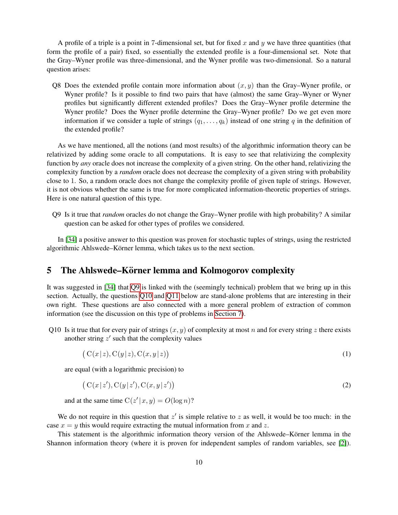A profile of a triple is a point in 7-dimensional set, but for fixed x and y we have three quantities (that form the profile of a pair) fixed, so essentially the extended profile is a four-dimensional set. Note that the Gray–Wyner profile was three-dimensional, and the Wyner profile was two-dimensional. So a natural question arises:

Q8 Does the extended profile contain more information about  $(x, y)$  than the Gray–Wyner profile, or Wyner profile? Is it possible to find two pairs that have (almost) the same Gray–Wyner or Wyner profiles but significantly different extended profiles? Does the Gray–Wyner profile determine the Wyner profile? Does the Wyner profile determine the Gray–Wyner profile? Do we get even more information if we consider a tuple of strings  $(q_1, \ldots, q_k)$  instead of one string q in the definition of the extended profile?

As we have mentioned, all the notions (and most results) of the algorithmic information theory can be relativized by adding some oracle to all computations. It is easy to see that relativizing the complexity function by *any* oracle does not increase the complexity of a given string. On the other hand, relativizing the complexity function by a *random* oracle does not decrease the complexity of a given string with probability close to 1. So, a random oracle does not change the complexity profile of given tuple of strings. However, it is not obvious whether the same is true for more complicated information-theoretic properties of strings. Here is one natural question of this type.

<span id="page-9-0"></span>Q9 Is it true that *random* oracles do not change the Gray–Wyner profile with high probability? A similar question can be asked for other types of profiles we considered.

In [\[34\]](#page-22-4) a positive answer to this question was proven for stochastic tuples of strings, using the restricted algorithmic Ahlswede–Körner lemma, which takes us to the next section.

# <span id="page-9-2"></span>5 The Ahlswede–Körner lemma and Kolmogorov complexity

It was suggested in [\[34\]](#page-22-4) that [Q9](#page-9-0) is linked with the (seemingly technical) problem that we bring up in this section. Actually, the questions [Q10](#page-9-1) and [Q11](#page-10-0) below are stand-alone problems that are interesting in their own right. These questions are also connected with a more general problem of extraction of common information (see the discussion on this type of problems in [Section 7\)](#page-13-0).

<span id="page-9-1"></span>Q10 Is it true that for every pair of strings  $(x, y)$  of complexity at most n and for every string z there exists another string  $z'$  such that the complexity values

$$
(C(x|z), C(y|z), C(x, y|z))
$$
\n<sup>(1)</sup>

are equal (with a logarithmic precision) to

$$
(C(x|z'), C(y|z'), C(x, y|z')) \tag{2}
$$

and at the same time  $C(z'|x, y) = O(\log n)$ ?

We do not require in this question that  $z'$  is simple relative to z as well, it would be too much: in the case  $x = y$  this would require extracting the mutual information from x and z.

This statement is the algorithmic information theory version of the Ahlswede–Körner lemma in the Shannon information theory (where it is proven for independent samples of random variables, see [\[2\]](#page-20-2)).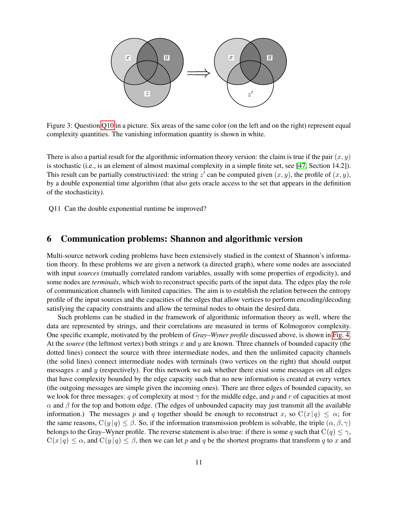

Figure 3: Question [Q10](#page-9-1) in a picture. Six areas of the same color (on the left and on the right) represent equal complexity quantities. The vanishing information quantity is shown in white.

There is also a partial result for the algorithmic information theory version: the claim is true if the pair  $(x, y)$ is stochastic (i.e., is an element of almost maximal complexity in a simple finite set, see [\[47,](#page-23-1) Section 14.2]). This result can be partially constructivized: the string  $z'$  can be computed given  $(x, y)$ , the profile of  $(x, y)$ , by a double exponential time algorithm (that also gets oracle access to the set that appears in the definition of the stochasticity).

<span id="page-10-0"></span>Q11 Can the double exponential runtime be improved?

# <span id="page-10-1"></span>6 Communication problems: Shannon and algorithmic version

Multi-source network coding problems have been extensively studied in the context of Shannon's information theory. In these problems we are given a network (a directed graph), where some nodes are associated with input *sources* (mutually correlated random variables, usually with some properties of ergodicity), and some nodes are *terminals*, which wish to reconstruct specific parts of the input data. The edges play the role of communication channels with limited capacities. The aim is to establish the relation between the entropy profile of the input sources and the capacities of the edges that allow vertices to perform encoding/decoding satisfying the capacity constraints and allow the terminal nodes to obtain the desired data.

Such problems can be studied in the framework of algorithmic information theory as well, where the data are represented by strings, and their correlations are measured in terms of Kolmogorov complexity. One specific example, motivated by the problem of *Gray–Wyner profile* discussed above, is shown in [Fig. 4.](#page-11-0) At the *source* (the leftmost vertex) both strings x and y are known. Three channels of bounded capacity (the dotted lines) connect the source with three intermediate nodes, and then the unlimited capacity channels (the solid lines) connect intermediate nodes with terminals (two vertices on the right) that should output messages x and y (respectively). For this network we ask whether there exist some messages on all edges that have complexity bounded by the edge capacity such that no new information is created at every vertex (the outgoing messages are simple given the incoming ones). There are three edges of bounded capacity, so we look for three messages: q of complexity at most  $\gamma$  for the middle edge, and p and r of capacities at most  $\alpha$  and  $\beta$  for the top and bottom edge. (The edges of unbounded capacity may just transmit all the available information.) The messages p and q together should be enough to reconstruct x, so  $C(x|q) \leq \alpha$ ; for the same reasons,  $C(y | q) \leq \beta$ . So, if the information transmission problem is solvable, the triple  $(\alpha, \beta, \gamma)$ belongs to the Gray–Wyner profile. The reverse statement is also true: if there is some q such that  $C(q) \leq \gamma$ ,  $C(x|q) \leq \alpha$ , and  $C(y|q) \leq \beta$ , then we can let p and q be the shortest programs that transform q to x and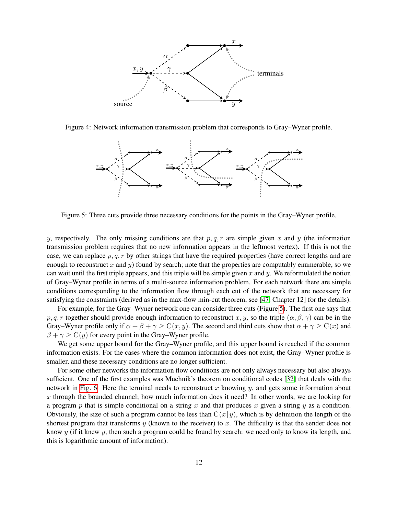<span id="page-11-0"></span>

<span id="page-11-1"></span>Figure 4: Network information transmission problem that corresponds to Gray–Wyner profile.



Figure 5: Three cuts provide three necessary conditions for the points in the Gray–Wyner profile.

y, respectively. The only missing conditions are that  $p, q, r$  are simple given x and y (the information transmission problem requires that no new information appears in the leftmost vertex). If this is not the case, we can replace  $p, q, r$  by other strings that have the required properties (have correct lengths and are enough to reconstruct x and y) found by search; note that the properties are computably enumerable, so we can wait until the first triple appears, and this triple will be simple given x and y. We reformulated the notion of Gray–Wyner profile in terms of a multi-source information problem. For each network there are simple conditions corresponding to the information flow through each cut of the network that are necessary for satisfying the constraints (derived as in the max-flow min-cut theorem, see [\[47,](#page-23-1) Chapter 12] for the details).

For example, for the Gray–Wyner network one can consider three cuts (Figure [5\)](#page-11-1). The first one says that p, q, r together should provide enough information to reconstruct x, y, so the triple  $(\alpha, \beta, \gamma)$  can be in the Gray–Wyner profile only if  $\alpha + \beta + \gamma \ge C(x, y)$ . The second and third cuts show that  $\alpha + \gamma \ge C(x)$  and  $\beta + \gamma \geq C(y)$  for every point in the Gray–Wyner profile.

We get some upper bound for the Gray–Wyner profile, and this upper bound is reached if the common information exists. For the cases where the common information does not exist, the Gray–Wyner profile is smaller, and these necessary conditions are no longer sufficient.

For some other networks the information flow conditions are not only always necessary but also always sufficient. One of the first examples was Muchnik's theorem on conditional codes [\[32\]](#page-22-5) that deals with the network in [Fig. 6.](#page-12-0) Here the terminal needs to reconstruct x knowing y, and gets some information about  $x$  through the bounded channel; how much information does it need? In other words, we are looking for a program p that is simple conditional on a string x and that produces x given a string  $y$  as a condition. Obviously, the size of such a program cannot be less than  $C(x|y)$ , which is by definition the length of the shortest program that transforms  $y$  (known to the receiver) to  $x$ . The difficulty is that the sender does not know  $y$  (if it knew  $y$ , then such a program could be found by search: we need only to know its length, and this is logarithmic amount of information).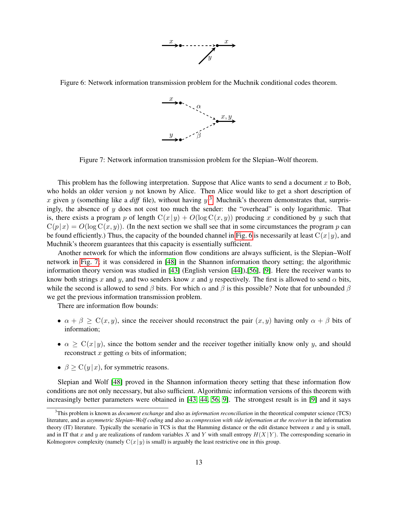

<span id="page-12-2"></span><span id="page-12-0"></span>Figure 6: Network information transmission problem for the Muchnik conditional codes theorem.



Figure 7: Network information transmission problem for the Slepian–Wolf theorem.

This problem has the following interpretation. Suppose that Alice wants to send a document  $x$  to Bob, who holds an older version  $y$  not known by Alice. Then Alice would like to get a short description of x given y (something like a  $diff$  file), without having  $y$ .<sup>[3](#page-12-1)</sup> Muchnik's theorem demonstrates that, surprisingly, the absence of  $y$  does not cost too much the sender: the "overhead" is only logarithmic. That is, there exists a program p of length  $C(x|y) + O(\log C(x, y))$  producing x conditioned by y such that  $C(p|x) = O(\log C(x, y))$ . (In the next section we shall see that in some circumstances the program p can be found efficiently.) Thus, the capacity of the bounded channel in [Fig. 6](#page-12-0) is necessarily at least  $C(x|y)$ , and Muchnik's theorem guarantees that this capacity is essentially sufficient.

Another network for which the information flow conditions are always sufficient, is the Slepian–Wolf network in [Fig. 7;](#page-12-2) it was considered in [\[48\]](#page-23-6) in the Shannon information theory setting; the algorithmic information theory version was studied in [\[43\]](#page-22-6) (English version [\[44\]](#page-22-7)),[\[56\]](#page-23-7), [\[9\]](#page-20-3). Here the receiver wants to know both strings x and y, and two senders know x and y respectively. The first is allowed to send  $\alpha$  bits, while the second is allowed to send  $\beta$  bits. For which  $\alpha$  and  $\beta$  is this possible? Note that for unbounded  $\beta$ we get the previous information transmission problem.

There are information flow bounds:

- $\alpha + \beta \geq C(x, y)$ , since the receiver should reconstruct the pair  $(x, y)$  having only  $\alpha + \beta$  bits of information;
- $\alpha \geq C(x|y)$ , since the bottom sender and the receiver together initially know only y, and should reconstruct x getting  $\alpha$  bits of information;
- $\beta \geq C(y|x)$ , for symmetric reasons.

Slepian and Wolf [\[48\]](#page-23-6) proved in the Shannon information theory setting that these information flow conditions are not only necessary, but also sufficient. Algorithmic information versions of this theorem with increasingly better parameters were obtained in [\[43,](#page-22-6) [44,](#page-22-7) [56,](#page-23-7) [9\]](#page-20-3). The strongest result is in [\[9\]](#page-20-3) and it says

<span id="page-12-1"></span><sup>3</sup>This problem is known as *document exchange* and also as *information reconciliation* in the theoretical computer science (TCS) literature, and as *asymmetric Slepian–Wolf coding* and also as *compression with side information at the receiver* in the information theory (IT) literature. Typically the scenario in TCS is that the Hamming distance or the edit distance between x and y is small, and in IT that x and y are realizations of random variables X and Y with small entropy  $H(X|Y)$ . The corresponding scenario in Kolmogorov complexity (namely  $C(x|y)$  is small) is arguably the least restrictive one in this group.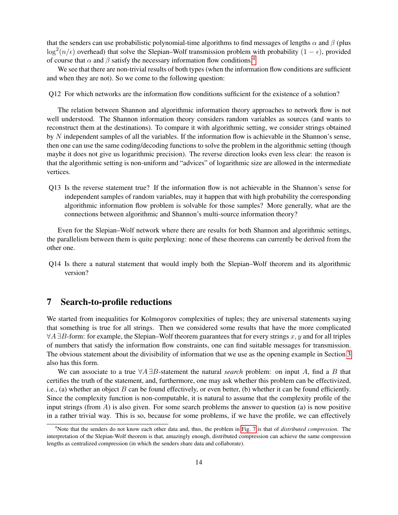that the senders can use probabilistic polynomial-time algorithms to find messages of lengths  $\alpha$  and  $\beta$  (plus  $\log^2(n/\epsilon)$  overhead) that solve the Slepian–Wolf transmission problem with probability  $(1 - \epsilon)$ , provided of course that  $\alpha$  and  $\beta$  satisfy the necessary information flow conditions.<sup>[4](#page-13-1)</sup>

We see that there are non-trivial results of both types (when the information flow conditions are sufficient and when they are not). So we come to the following question:

Q12 For which networks are the information flow conditions sufficient for the existence of a solution?

The relation between Shannon and algorithmic information theory approaches to network flow is not well understood. The Shannon information theory considers random variables as sources (and wants to reconstruct them at the destinations). To compare it with algorithmic setting, we consider strings obtained by N independent samples of all the variables. If the information flow is achievable in the Shannon's sense, then one can use the same coding/decoding functions to solve the problem in the algorithmic setting (though maybe it does not give us logarithmic precision). The reverse direction looks even less clear: the reason is that the algorithmic setting is non-uniform and "advices" of logarithmic size are allowed in the intermediate vertices.

Q13 Is the reverse statement true? If the information flow is not achievable in the Shannon's sense for independent samples of random variables, may it happen that with high probability the corresponding algorithmic information flow problem is solvable for those samples? More generally, what are the connections between algorithmic and Shannon's multi-source information theory?

Even for the Slepian–Wolf network where there are results for both Shannon and algorithmic settings, the parallelism between them is quite perplexing: none of these theorems can currently be derived from the other one.

Q14 Is there a natural statement that would imply both the Slepian–Wolf theorem and its algorithmic version?

# <span id="page-13-0"></span>7 Search-to-profile reductions

We started from inequalities for Kolmogorov complexities of tuples; they are universal statements saying that something is true for all strings. Then we considered some results that have the more complicated  $\forall A \exists B$ -form: for example, the Slepian–Wolf theorem guarantees that for every strings x, y and for all triples of numbers that satisfy the information flow constraints, one can find suitable messages for transmission. The obvious statement about the divisibility of information that we use as the opening example in Section [3](#page-6-0) also has this form.

We can associate to a true ∀A ∃B-statement the natural *search* problem: on input A, find a B that certifies the truth of the statement, and, furthermore, one may ask whether this problem can be effectivized, i.e., (a) whether an object  $B$  can be found effectively, or even better, (b) whether it can be found efficiently. Since the complexity function is non-computable, it is natural to assume that the complexity profile of the input strings (from  $A$ ) is also given. For some search problems the answer to question (a) is now positive in a rather trivial way. This is so, because for some problems, if we have the profile, we can effectively

<span id="page-13-1"></span><sup>4</sup>Note that the senders do not know each other data and, thus, the problem in [Fig. 7](#page-12-2) is that of *distributed compression*. The interpretation of the Slepian-Wolf theorem is that, amazingly enough, distributed compression can achieve the same compression lengths as centralized compression (in which the senders share data and collaborate).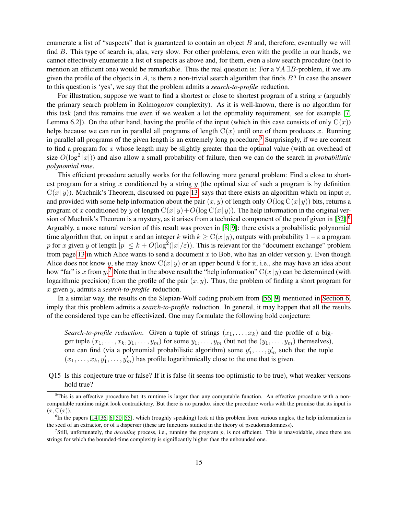enumerate a list of "suspects" that is guaranteed to contain an object  $B$  and, therefore, eventually we will find B. This type of search is, alas, very slow. For other problems, even with the profile in our hands, we cannot effectively enumerate a list of suspects as above and, for them, even a slow search procedure (not to mention an efficient one) would be remarkable. Thus the real question is: For a  $\forall A \exists B$ -problem, if we are given the profile of the objects in  $A$ , is there a non-trivial search algorithm that finds  $B$ ? In case the answer to this question is 'yes', we say that the problem admits a *search-to-profile* reduction.

For illustration, suppose we want to find a shortest or close to shortest program of a string  $x$  (arguably the primary search problem in Kolmogorov complexity). As it is well-known, there is no algorithm for this task (and this remains true even if we weaken a lot the optimality requirement, see for example [\[7,](#page-20-4) Lemma 6.2]). On the other hand, having the profile of the input (which in this case consists of only  $C(x)$ ) helps because we can run in parallel all programs of length  $C(x)$  until one of them produces x. Running in parallel all programs of the given length is an extremely long procedure.<sup>[5](#page-14-0)</sup> Surprisingly, if we are content to find a program for x whose length may be slightly greater than the optimal value (with an overhead of size  $O(\log^2 |x|)$ ) and also allow a small probability of failure, then we can do the search in *probabilistic polynomial time*.

This efficient procedure actually works for the following more general problem: Find a close to shortest program for a string x conditioned by a string y (the optimal size of such a program is by definition  $C(x|y)$ ). Muchnik's Theorem, discussed on page [13,](#page-12-0) says that there exists an algorithm which on input x, and provided with some help information about the pair  $(x, y)$  of length only  $O(\log C(x|y))$  bits, returns a program of x conditioned by y of length  $C(x|y)+O(\log C(x|y))$ . The help information in the original ver-sion of Muchnik's Theorem is a mystery, as it arises from a technical component of the proof given in [\[32\]](#page-22-5).<sup>[6](#page-14-1)</sup> Arguably, a more natural version of this result was proven in [\[8,](#page-20-5) [9\]](#page-20-3): there exists a probabilistic polynomial time algorithm that, on input x and an integer k with  $k \geq C(x|y)$ , outputs with probability  $1 - \varepsilon$  a program p for x given y of length  $|p| \le k + O(\log^2(|x|/\varepsilon))$ . This is relevant for the "document exchange" problem from page [13](#page-12-0) in which Alice wants to send a document  $x$  to Bob, who has an older version  $y$ . Even though Alice does not know y, she may know  $C(x|y)$  or an upper bound k for it, i.e., she may have an idea about how "far" is x from y.<sup>[7](#page-14-2)</sup> Note that in the above result the "help information"  $C(x|y)$  can be determined (with logarithmic precision) from the profile of the pair  $(x, y)$ . Thus, the problem of finding a short program for x given y, admits a *search-to-profile* reduction.

In a similar way, the results on the Slepian-Wolf coding problem from [\[56,](#page-23-7) [9\]](#page-20-3) mentioned in [Section 6,](#page-10-1) imply that this problem admits a *search-to-profile* reduction. In general, it may happen that all the results of the considered type can be effectivized. One may formulate the following bold conjecture:

*Search-to-profile reduction.* Given a tuple of strings  $(x_1, \ldots, x_k)$  and the profile of a bigger tuple  $(x_1, \ldots, x_k, y_1, \ldots, y_m)$  for some  $y_1, \ldots, y_m$  (but not the  $(y_1, \ldots, y_m)$  themselves), one can find (via a polynomial probabilistic algorithm) some  $y'_1, \ldots, y'_m$  such that the tuple  $(x_1, \ldots, x_k, y'_1, \ldots, y'_m)$  has profile logarithmically close to the one that is given.

Q15 Is this conjecture true or false? If it is false (it seems too optimistic to be true), what weaker versions hold true?

<span id="page-14-0"></span> $<sup>5</sup>$ This is an effective procedure but its runtime is larger than any computable function. An effective procedure with a non-</sup> computable runtime might look contradictory. But there is no paradox since the procedure works with the promise that its input is  $(x, \mathrm{C}(x)).$ 

<span id="page-14-1"></span><sup>&</sup>lt;sup>6</sup>In the papers [\[14,](#page-21-10) [36,](#page-22-8) [6,](#page-20-6) [50,](#page-23-8) [55\]](#page-23-9), which (roughly speaking) look at this problem from various angles, the help information is the seed of an extractor, or of a disperser (these are functions studied in the theory of pseudorandomness).

<span id="page-14-2"></span><sup>&</sup>lt;sup>7</sup>Still, unfortunately, the *decoding* process, i.e., running the program  $p$ , is not efficient. This is unavoidable, since there are strings for which the bounded-time complexity is significantly higher than the unbounded one.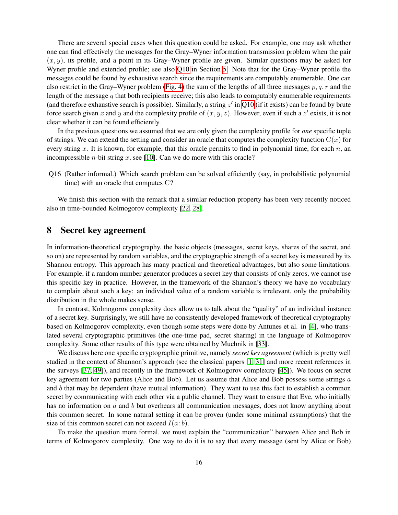There are several special cases when this question could be asked. For example, one may ask whether one can find effectively the messages for the Gray–Wyner information transmission problem when the pair  $(x, y)$ , its profile, and a point in its Gray–Wyner profile are given. Similar questions may be asked for Wyner profile and extended profile; see also [Q10](#page-9-1) in Section [5.](#page-9-2) Note that for the Gray–Wyner profile the messages could be found by exhaustive search since the requirements are computably enumerable. One can also restrict in the Gray–Wyner problem [\(Fig. 4\)](#page-11-0) the sum of the lengths of all three messages p, q, r and the length of the message  $q$  that both recipients receive; this also leads to computably enumerable requirements (and therefore exhaustive search is possible). Similarly, a string  $z'$  in [Q10](#page-9-1) (if it exists) can be found by brute force search given x and y and the complexity profile of  $(x, y, z)$ . However, even if such a z' exists, it is not clear whether it can be found efficiently.

In the previous questions we assumed that we are only given the complexity profile for *one* specific tuple of strings. We can extend the setting and consider an oracle that computes the complexity function  $C(x)$  for every string x. It is known, for example, that this oracle permits to find in polynomial time, for each  $n$ , and incompressible *n*-bit string  $x$ , see [\[10\]](#page-20-7). Can we do more with this oracle?

Q16 (Rather informal.) Which search problem can be solved efficiently (say, in probabilistic polynomial time) with an oracle that computes C?

We finish this section with the remark that a similar reduction property has been very recently noticed also in time-bounded Kolmogorov complexity [\[22,](#page-21-11) [28\]](#page-21-12).

# 8 Secret key agreement

In information-theoretical cryptography, the basic objects (messages, secret keys, shares of the secret, and so on) are represented by random variables, and the cryptographic strength of a secret key is measured by its Shannon entropy. This approach has many practical and theoretical advantages, but also some limitations. For example, if a random number generator produces a secret key that consists of only zeros, we cannot use this specific key in practice. However, in the framework of the Shannon's theory we have no vocabulary to complain about such a key: an individual value of a random variable is irrelevant, only the probability distribution in the whole makes sense.

In contrast, Kolmogorov complexity does allow us to talk about the "quality" of an individual instance of a secret key. Surprisingly, we still have no consistently developed framework of theoretical cryptography based on Kolmogorov complexity, even though some steps were done by Antunes et al. in [\[4\]](#page-20-8), who translated several cryptographic primitives (the one-time pad, secret sharing) in the language of Kolmogorov complexity. Some other results of this type were obtained by Muchnik in [\[33\]](#page-22-9).

We discuss here one specific cryptographic primitive, namely *secret key agreement* (which is pretty well studied in the context of Shannon's approach (see the classical papers [\[1,](#page-20-9) [31\]](#page-22-10) and more recent references in the surveys [\[37,](#page-22-11) [49\]](#page-23-10)), and recently in the framework of Kolmogorov complexity [\[45\]](#page-22-12)). We focus on secret key agreement for two parties (Alice and Bob). Let us assume that Alice and Bob possess some strings a and  $b$  that may be dependent (have mutual information). They want to use this fact to establish a common secret by communicating with each other via a public channel. They want to ensure that Eve, who initially has no information on a and b but overhears all communication messages, does not know anything about this common secret. In some natural setting it can be proven (under some minimal assumptions) that the size of this common secret can not exceed  $I(a:b)$ .

To make the question more formal, we must explain the "communication" between Alice and Bob in terms of Kolmogorov complexity. One way to do it is to say that every message (sent by Alice or Bob)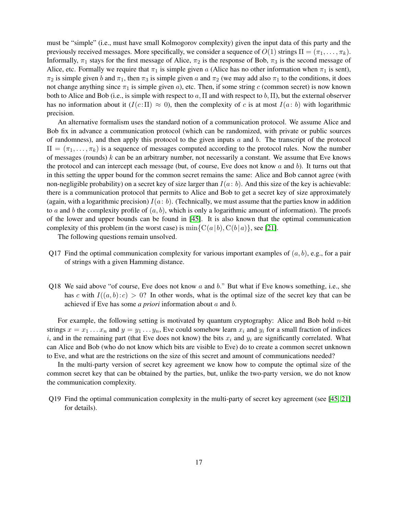must be "simple" (i.e., must have small Kolmogorov complexity) given the input data of this party and the previously received messages. More specifically, we consider a sequence of  $O(1)$  strings  $\Pi = (\pi_1, \ldots, \pi_k)$ . Informally,  $\pi_1$  stays for the first message of Alice,  $\pi_2$  is the response of Bob,  $\pi_3$  is the second message of Alice, etc. Formally we require that  $\pi_1$  is simple given a (Alice has no other information when  $\pi_1$  is sent),  $\pi_2$  is simple given b and  $\pi_1$ , then  $\pi_3$  is simple given a and  $\pi_2$  (we may add also  $\pi_1$  to the conditions, it does not change anything since  $\pi_1$  is simple given a), etc. Then, if some string c (common secret) is now known both to Alice and Bob (i.e., is simple with respect to a,  $\Pi$  and with respect to b,  $\Pi$ ), but the external observer has no information about it  $(I(c:\Pi) \approx 0)$ , then the complexity of c is at most  $I(a:b)$  with logarithmic precision.

An alternative formalism uses the standard notion of a communication protocol. We assume Alice and Bob fix in advance a communication protocol (which can be randomized, with private or public sources of randomness), and then apply this protocol to the given inputs  $a$  and  $b$ . The transcript of the protocol  $\Pi = (\pi_1, \ldots, \pi_k)$  is a sequence of messages computed according to the protocol rules. Now the number of messages (rounds)  $k$  can be an arbitrary number, not necessarily a constant. We assume that Eve knows the protocol and can intercept each message (but, of course, Eve does not know  $a$  and  $b$ ). It turns out that in this setting the upper bound for the common secret remains the same: Alice and Bob cannot agree (with non-negligible probability) on a secret key of size larger than  $I(a:b)$ . And this size of the key is achievable: there is a communication protocol that permits to Alice and Bob to get a secret key of size approximately (again, with a logarithmic precision)  $I(a:b)$ . (Technically, we must assume that the parties know in addition to a and b the complexity profile of  $(a, b)$ , which is only a logarithmic amount of information). The proofs of the lower and upper bounds can be found in [\[45\]](#page-22-12). It is also known that the optimal communication complexity of this problem (in the worst case) is  $\min\{C(a|b), C(b|a)\}\)$ , see [\[21\]](#page-21-13).

The following questions remain unsolved.

- Q17 Find the optimal communication complexity for various important examples of  $(a, b)$ , e.g., for a pair of strings with a given Hamming distance.
- Q18 We said above "of course, Eve does not know  $a$  and  $b$ ." But what if Eve knows something, i.e., she has c with  $I((a, b): c) > 0$ ? In other words, what is the optimal size of the secret key that can be achieved if Eve has some *a priori* information about a and b.

For example, the following setting is motivated by quantum cryptography: Alice and Bob hold n-bit strings  $x = x_1 \dots x_n$  and  $y = y_1 \dots y_n$ , Eve could somehow learn  $x_i$  and  $y_i$  for a small fraction of indices i, and in the remaining part (that Eve does not know) the bits  $x_i$  and  $y_i$  are significantly correlated. What can Alice and Bob (who do not know which bits are visible to Eve) do to create a common secret unknown to Eve, and what are the restrictions on the size of this secret and amount of communications needed?

In the multi-party version of secret key agreement we know how to compute the optimal size of the common secret key that can be obtained by the parties, but, unlike the two-party version, we do not know the communication complexity.

Q19 Find the optimal communication complexity in the multi-party of secret key agreement (see [\[45,](#page-22-12) [21\]](#page-21-13) for details).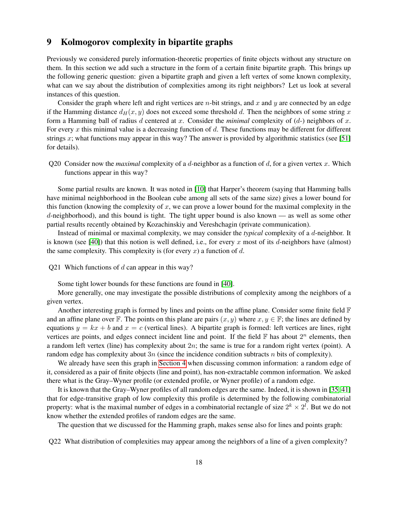# 9 Kolmogorov complexity in bipartite graphs

Previously we considered purely information-theoretic properties of finite objects without any structure on them. In this section we add such a structure in the form of a certain finite bipartite graph. This brings up the following generic question: given a bipartite graph and given a left vertex of some known complexity, what can we say about the distribution of complexities among its right neighbors? Let us look at several instances of this question.

Consider the graph where left and right vertices are  $n$ -bit strings, and  $x$  and  $y$  are connected by an edge if the Hamming distance  $d_H(x, y)$  does not exceed some threshold d. Then the neighbors of some string x form a Hamming ball of radius d centered at x. Consider the *minimal* complexity of  $(d-)$  neighbors of x. For every x this minimal value is a decreasing function of d. These functions may be different for different strings x; what functions may appear in this way? The answer is provided by algorithmic statistics (see [\[51\]](#page-23-4) for details).

Q20 Consider now the *maximal* complexity of a d-neighbor as a function of d, for a given vertex x. Which functions appear in this way?

Some partial results are known. It was noted in [\[10\]](#page-20-7) that Harper's theorem (saying that Hamming balls have minimal neighborhood in the Boolean cube among all sets of the same size) gives a lower bound for this function (knowing the complexity of  $x$ , we can prove a lower bound for the maximal complexity in the  $d$ -neighborhood), and this bound is tight. The tight upper bound is also known — as well as some other partial results recently obtained by Kozachinskiy and Vereshchagin (private communication).

Instead of minimal or maximal complexity, we may consider the *typical* complexity of a d-neighbor. It is known (see [\[40\]](#page-22-13)) that this notion is well defined, i.e., for every x most of its d-neighbors have (almost) the same complexity. This complexity is (for every x) a function of d.

Q21 Which functions of  $d$  can appear in this way?

Some tight lower bounds for these functions are found in [\[40\]](#page-22-13).

More generally, one may investigate the possible distributions of complexity among the neighbors of a given vertex.

Another interesting graph is formed by lines and points on the affine plane. Consider some finite field  $\mathbb F$ and an affine plane over F. The points on this plane are pairs  $(x, y)$  where  $x, y \in \mathbb{F}$ ; the lines are defined by equations  $y = kx + b$  and  $x = c$  (vertical lines). A bipartite graph is formed: left vertices are lines, right vertices are points, and edges connect incident line and point. If the field  $\mathbb F$  has about  $2^n$  elements, then a random left vertex (line) has complexity about  $2n$ ; the same is true for a random right vertex (point). A random edge has complexity about  $3n$  (since the incidence condition subtracts n bits of complexity).

We already have seen this graph in [Section 4](#page-7-0) when discussing common information: a random edge of it, considered as a pair of finite objects (line and point), has non-extractable common information. We asked there what is the Gray–Wyner profile (or extended profile, or Wyner profile) of a random edge.

It is known that the Gray–Wyner profiles of all random edges are the same. Indeed, it is shown in [\[35,](#page-22-3) [41\]](#page-22-14) that for edge-transitive graph of low complexity this profile is determined by the following combinatorial property: what is the maximal number of edges in a combinatorial rectangle of size  $2^k \times 2^l$ . But we do not know whether the extended profiles of random edges are the same.

The question that we discussed for the Hamming graph, makes sense also for lines and points graph:

Q22 What distribution of complexities may appear among the neighbors of a line of a given complexity?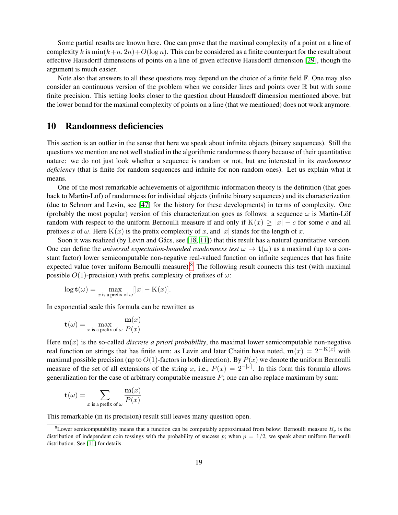Some partial results are known here. One can prove that the maximal complexity of a point on a line of complexity k is  $\min(k+n, 2n) + O(\log n)$ . This can be considered as a finite counterpart for the result about effective Hausdorff dimensions of points on a line of given effective Hausdorff dimension [\[29\]](#page-21-14), though the argument is much easier.

Note also that answers to all these questions may depend on the choice of a finite field  $\mathbb F$ . One may also consider an continuous version of the problem when we consider lines and points over  $\mathbb R$  but with some finite precision. This setting looks closer to the question about Hausdorff dimension mentioned above, but the lower bound for the maximal complexity of points on a line (that we mentioned) does not work anymore.

# 10 Randomness deficiencies

This section is an outlier in the sense that here we speak about infinite objects (binary sequences). Still the questions we mention are not well studied in the algorithmic randomness theory because of their quantitative nature: we do not just look whether a sequence is random or not, but are interested in its *randomness deficiency* (that is finite for random sequences and infinite for non-random ones). Let us explain what it means.

One of the most remarkable achievements of algorithmic information theory is the definition (that goes back to Martin-Löf) of randomness for individual objects (infinite binary sequences) and its characterization (due to Schnorr and Levin, see [\[47\]](#page-23-1) for the history for these developments) in terms of complexity. One (probably the most popular) version of this characterization goes as follows: a sequence  $\omega$  is Martin-Löf random with respect to the uniform Bernoulli measure if and only if  $K(x) > |x| - c$  for some c and all prefixes x of  $\omega$ . Here K(x) is the prefix complexity of x, and |x| stands for the length of x.

Soon it was realized (by Levin and Gács, see  $[18, 11]$  $[18, 11]$ ) that this result has a natural quantitative version. One can define the *universal expectation-bounded randomness test*  $\omega \mapsto \mathbf{t}(\omega)$  as a maximal (up to a constant factor) lower semicomputable non-negative real-valued function on infinite sequences that has finite expected value (over uniform Bernoulli measure).<sup>[8](#page-18-0)</sup> The following result connects this test (with maximal possible  $O(1)$ -precision) with prefix complexity of prefixes of  $\omega$ :

$$
\log \mathbf{t}(\omega) = \max_{x \text{ is a prefix of } \omega} [ |x| - \mathrm{K}(x) ].
$$

In exponential scale this formula can be rewritten as

$$
\mathbf{t}(\omega) = \max_{x \text{ is a prefix of } \omega} \frac{\mathbf{m}(x)}{P(x)}
$$

Here  $m(x)$  is the so-called *discrete a priori probability*, the maximal lower semicomputable non-negative real function on strings that has finite sum; as Levin and later Chaitin have noted,  $m(x) = 2^{-K(x)}$  with maximal possible precision (up to  $O(1)$ -factors in both direction). By  $P(x)$  we denote the uniform Bernoulli measure of the set of all extensions of the string x, i.e.,  $P(x) = 2^{-|x|}$ . In this form this formula allows generalization for the case of arbitrary computable measure  $P$ ; one can also replace maximum by sum:

$$
\mathbf{t}(\omega) = \sum_{x \text{ is a prefix of } \omega} \frac{\mathbf{m}(x)}{P(x)}
$$

This remarkable (in its precision) result still leaves many question open.

<span id="page-18-0"></span><sup>&</sup>lt;sup>8</sup>Lower semicomputability means that a function can be computably approximated from below; Bernoulli measure  $B_p$  is the distribution of independent coin tossings with the probability of success p; when  $p = 1/2$ , we speak about uniform Bernoulli distribution. See [\[11\]](#page-20-10) for details.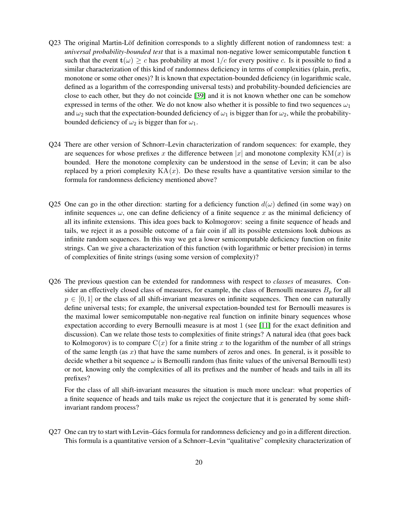- Q23 The original Martin-Löf definition corresponds to a slightly different notion of randomness test: a *universal probability-bounded test* that is a maximal non-negative lower semicomputable function t such that the event  $\mathbf{t}(\omega) \geq c$  has probability at most  $1/c$  for every positive c. Is it possible to find a similar characterization of this kind of randomness deficiency in terms of complexities (plain, prefix, monotone or some other ones)? It is known that expectation-bounded deficiency (in logarithmic scale, defined as a logarithm of the corresponding universal tests) and probability-bounded deficiencies are close to each other, but they do not coincide [\[39\]](#page-22-15) and it is not known whether one can be somehow expressed in terms of the other. We do not know also whether it is possible to find two sequences  $\omega_1$ and  $\omega_2$  such that the expectation-bounded deficiency of  $\omega_1$  is bigger than for  $\omega_2$ , while the probabilitybounded deficiency of  $\omega_2$  is bigger than for  $\omega_1$ .
- Q24 There are other version of Schnorr–Levin characterization of random sequences: for example, they are sequences for whose prefixes x the difference between |x| and monotone complexity  $KM(x)$  is bounded. Here the monotone complexity can be understood in the sense of Levin; it can be also replaced by a priori complexity  $KA(x)$ . Do these results have a quantitative version similar to the formula for randomness deficiency mentioned above?
- Q25 One can go in the other direction: starting for a deficiency function  $d(\omega)$  defined (in some way) on infinite sequences  $\omega$ , one can define deficiency of a finite sequence x as the minimal deficiency of all its infinite extensions. This idea goes back to Kolmogorov: seeing a finite sequence of heads and tails, we reject it as a possible outcome of a fair coin if all its possible extensions look dubious as infinite random sequences. In this way we get a lower semicomputable deficiency function on finite strings. Can we give a characterization of this function (with logarithmic or better precision) in terms of complexities of finite strings (using some version of complexity)?
- Q26 The previous question can be extended for randomness with respect to *classes* of measures. Consider an effectively closed class of measures, for example, the class of Bernoulli measures  $B_p$  for all  $p \in [0, 1]$  or the class of all shift-invariant measures on infinite sequences. Then one can naturally define universal tests; for example, the universal expectation-bounded test for Bernoulli measures is the maximal lower semicomputable non-negative real function on infinite binary sequences whose expectation according to every Bernoulli measure is at most 1 (see [\[11\]](#page-20-10) for the exact definition and discussion). Can we relate those tests to complexities of finite strings? A natural idea (that goes back to Kolmogorov) is to compare  $C(x)$  for a finite string x to the logarithm of the number of all strings of the same length (as x) that have the same numbers of zeros and ones. In general, is it possible to decide whether a bit sequence  $\omega$  is Bernoulli random (has finite values of the universal Bernoulli test) or not, knowing only the complexities of all its prefixes and the number of heads and tails in all its prefixes?

For the class of all shift-invariant measures the situation is much more unclear: what properties of a finite sequence of heads and tails make us reject the conjecture that it is generated by some shiftinvariant random process?

Q27 One can try to start with Levin–Gács formula for randomness deficiency and go in a different direction. This formula is a quantitative version of a Schnorr–Levin "qualitative" complexity characterization of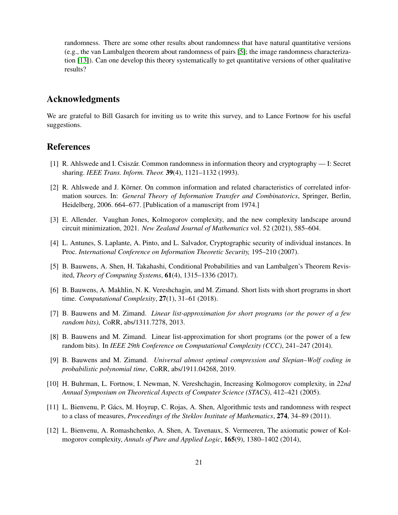randomness. There are some other results about randomness that have natural quantitative versions (e.g., the van Lambalgen theorem about randomness of pairs [\[5\]](#page-20-11); the image randomness characterization [\[13\]](#page-21-16)). Can one develop this theory systematically to get quantitative versions of other qualitative results?

# Acknowledgments

We are grateful to Bill Gasarch for inviting us to write this survey, and to Lance Fortnow for his useful suggestions.

# References

- <span id="page-20-9"></span>[1] R. Ahlswede and I. Csiszár. Common randomness in information theory and cryptography — I: Secret sharing. *IEEE Trans. Inform. Theor.* 39(4), 1121–1132 (1993).
- <span id="page-20-2"></span>[2] R. Ahlswede and J. Körner. On common information and related characteristics of correlated information sources. In: *General Theory of Information Transfer and Combinatorics*, Springer, Berlin, Heidelberg, 2006. 664–677. [Publication of a manuscript from 1974.]
- <span id="page-20-0"></span>[3] E. Allender. Vaughan Jones, Kolmogorov complexity, and the new complexity landscape around circuit minimization, 2021. *New Zealand Journal of Mathematics* vol. 52 (2021), 585–604.
- <span id="page-20-8"></span>[4] L. Antunes, S. Laplante, A. Pinto, and L. Salvador, Cryptographic security of individual instances. In Proc. *International Conference on Information Theoretic Security,* 195–210 (2007).
- <span id="page-20-11"></span>[5] B. Bauwens, A. Shen, H. Takahashi, Conditional Probabilities and van Lambalgen's Theorem Revisited, *Theory of Computing Systems*, 61(4), 1315–1336 (2017).
- <span id="page-20-6"></span>[6] B. Bauwens, A. Makhlin, N. K. Vereshchagin, and M. Zimand. Short lists with short programs in short time. *Computational Complexity*, 27(1), 31–61 (2018).
- <span id="page-20-4"></span>[7] B. Bauwens and M. Zimand. *Linear list-approximation for short programs (or the power of a few random bits)*, CoRR, abs/1311.7278, 2013.
- <span id="page-20-5"></span>[8] B. Bauwens and M. Zimand. Linear list-approximation for short programs (or the power of a few random bits). In *IEEE 29th Conference on Computational Complexity (CCC)*, 241–247 (2014).
- <span id="page-20-3"></span>[9] B. Bauwens and M. Zimand. *Universal almost optimal compression and Slepian–Wolf coding in probabilistic polynomial time*, CoRR, abs/1911.04268, 2019.
- <span id="page-20-7"></span>[10] H. Buhrman, L. Fortnow, I. Newman, N. Vereshchagin, Increasing Kolmogorov complexity, in *22nd Annual Symposium on Theoretical Aspects of Computer Science (STACS)*, 412–421 (2005).
- <span id="page-20-10"></span>[11] L. Bienvenu, P. Gács, M. Hoyrup, C. Rojas, A. Shen, Algorithmic tests and randomness with respect to a class of measures, *Proceedings of the Steklov Institute of Mathematics*, 274, 34–89 (2011).
- <span id="page-20-1"></span>[12] L. Bienvenu, A. Romashchenko, A. Shen, A. Tavenaux, S. Vermeeren, The axiomatic power of Kolmogorov complexity, *Annals of Pure and Applied Logic*, 165(9), 1380–1402 (2014),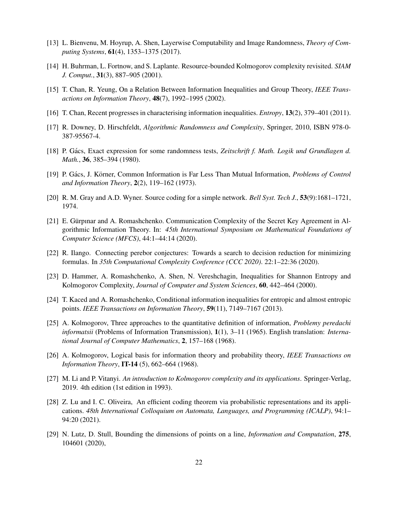- <span id="page-21-16"></span>[13] L. Bienvenu, M. Hoyrup, A. Shen, Layerwise Computability and Image Randomness, *Theory of Computing Systems*, 61(4), 1353–1375 (2017).
- <span id="page-21-10"></span>[14] H. Buhrman, L. Fortnow, and S. Laplante. Resource-bounded Kolmogorov complexity revisited. *SIAM J. Comput.*, 31(3), 887–905 (2001).
- <span id="page-21-5"></span>[15] T. Chan, R. Yeung, On a Relation Between Information Inequalities and Group Theory, *IEEE Transactions on Information Theory*, 48(7), 1992–1995 (2002).
- <span id="page-21-6"></span>[16] T. Chan, Recent progresses in characterising information inequalities. *Entropy*, 13(2), 379–401 (2011).
- <span id="page-21-2"></span>[17] R. Downey, D. Hirschfeldt, *Algorithmic Randomness and Complexity*, Springer, 2010, ISBN 978-0- 387-95567-4.
- <span id="page-21-15"></span>[18] P. Gács, Exact expression for some randomness tests, Zeitschrift f. Math. Logik und Grundlagen d. *Math.*, 36, 385–394 (1980).
- <span id="page-21-8"></span>[19] P. Gács, J. Körner, Common Information is Far Less Than Mutual Information, *Problems of Control and Information Theory*, 2(2), 119–162 (1973).
- <span id="page-21-9"></span>[20] R. M. Gray and A.D. Wyner. Source coding for a simple network. *Bell Syst. Tech J.*, 53(9):1681–1721, 1974.
- <span id="page-21-13"></span>[21] E. Gürpinar and A. Romashchenko. Communication Complexity of the Secret Key Agreement in Algorithmic Information Theory. In: *45th International Symposium on Mathematical Foundations of Computer Science (MFCS)*, 44:1–44:14 (2020).
- <span id="page-21-11"></span>[22] R. Ilango. Connecting perebor conjectures: Towards a search to decision reduction for minimizing formulas. In *35th Computational Complexity Conference (CCC 2020)*. 22:1–22:36 (2020).
- <span id="page-21-4"></span>[23] D. Hammer, A. Romashchenko, A. Shen, N. Vereshchagin, Inequalities for Shannon Entropy and Kolmogorov Complexity, *Journal of Computer and System Sciences*, 60, 442–464 (2000).
- <span id="page-21-7"></span>[24] T. Kaced and A. Romashchenko, Conditional information inequalities for entropic and almost entropic points. *IEEE Transactions on Information Theory*, 59(11), 7149–7167 (2013).
- <span id="page-21-1"></span>[25] A. Kolmogorov, Three approaches to the quantitative definition of information, *Problemy peredachi informatsii* (Problems of Information Transmission), 1(1), 3–11 (1965). English translation: *International Journal of Computer Mathematics*, 2, 157–168 (1968).
- <span id="page-21-0"></span>[26] A. Kolmogorov, Logical basis for information theory and probability theory, *IEEE Transactions on Information Theory*, IT-14 (5), 662–664 (1968).
- <span id="page-21-3"></span>[27] M. Li and P. Vitanyi. *An introduction to Kolmogorov complexity and its applications*. Springer-Verlag, 2019. 4th edition (1st edition in 1993).
- <span id="page-21-12"></span>[28] Z. Lu and I. C. Oliveira, An efficient coding theorem via probabilistic representations and its applications. *48th International Colloquium on Automata, Languages, and Programming (ICALP)*, 94:1– 94:20 (2021).
- <span id="page-21-14"></span>[29] N. Lutz, D. Stull, Bounding the dimensions of points on a line, *Information and Computation*, 275, 104601 (2020),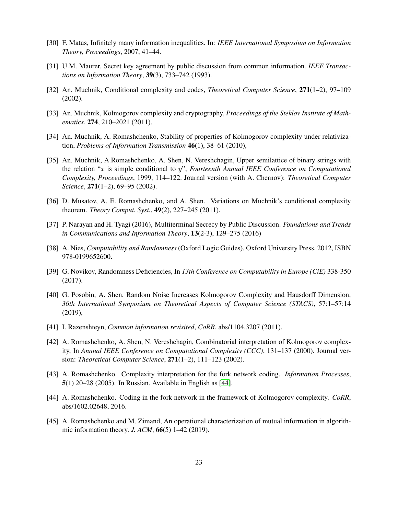- <span id="page-22-1"></span>[30] F. Matus, Infinitely many information inequalities. In: *IEEE International Symposium on Information Theory, Proceedings*, 2007, 41–44.
- <span id="page-22-10"></span>[31] U.M. Maurer, Secret key agreement by public discussion from common information. *IEEE Transactions on Information Theory*, 39(3), 733–742 (1993).
- <span id="page-22-5"></span>[32] An. Muchnik, Conditional complexity and codes, *Theoretical Computer Science*, 271(1–2), 97–109 (2002).
- <span id="page-22-9"></span>[33] An. Muchnik, Kolmogorov complexity and cryptography, *Proceedings of the Steklov Institute of Mathematics*, 274, 210–2021 (2011).
- <span id="page-22-4"></span>[34] An. Muchnik, A. Romashchenko, Stability of properties of Kolmogorov complexity under relativization, *Problems of Information Transmission* 46(1), 38–61 (2010),
- <span id="page-22-3"></span>[35] An. Muchnik, A.Romashchenko, A. Shen, N. Vereshchagin, Upper semilattice of binary strings with the relation " $x$  is simple conditional to  $y$ ", *Fourteenth Annual IEEE Conference on Computational Complexity, Proceedings*, 1999, 114–122. Journal version (with A. Chernov): *Theoretical Computer Science*, 271(1–2), 69–95 (2002).
- <span id="page-22-8"></span>[36] D. Musatov, A. E. Romashchenko, and A. Shen. Variations on Muchnik's conditional complexity theorem. *Theory Comput. Syst.*, 49(2), 227–245 (2011).
- <span id="page-22-11"></span>[37] P. Narayan and H. Tyagi (2016), Multiterminal Secrecy by Public Discussion. *Foundations and Trends in Communications and Information Theory*, 13(2-3), 129–275 (2016)
- <span id="page-22-0"></span>[38] A. Nies, *Computability and Randomness* (Oxford Logic Guides), Oxford University Press, 2012, ISBN 978-0199652600.
- <span id="page-22-15"></span>[39] G. Novikov, Randomness Deficiencies, In *13th Conference on Computability in Europe (CiE)* 338-350 (2017).
- <span id="page-22-13"></span>[40] G. Posobin, A. Shen, Random Noise Increases Kolmogorov Complexity and Hausdorff Dimension, *36th International Symposium on Theoretical Aspects of Computer Science (STACS)*, 57:1–57:14 (2019),
- <span id="page-22-14"></span>[41] I. Razenshteyn, *Common information revisited*, *CoRR*, abs/1104.3207 (2011).
- <span id="page-22-2"></span>[42] A. Romashchenko, A. Shen, N. Vereshchagin, Combinatorial interpretation of Kolmogorov complexity, In *Annual IEEE Conference on Computational Complexity (CCC)*, 131–137 (2000). Journal version: *Theoretical Computer Science*, 271(1–2), 111–123 (2002).
- <span id="page-22-6"></span>[43] A. Romashchenko. Complexity interpretation for the fork network coding. *Information Processes*, 5(1) 20–28 (2005). In Russian. Available in English as [\[44\]](#page-22-7).
- <span id="page-22-7"></span>[44] A. Romashchenko. Coding in the fork network in the framework of Kolmogorov complexity. *CoRR*, abs/1602.02648, 2016.
- <span id="page-22-12"></span>[45] A. Romashchenko and M. Zimand, An operational characterization of mutual information in algorithmic information theory. *J. ACM*, 66(5) 1–42 (2019).